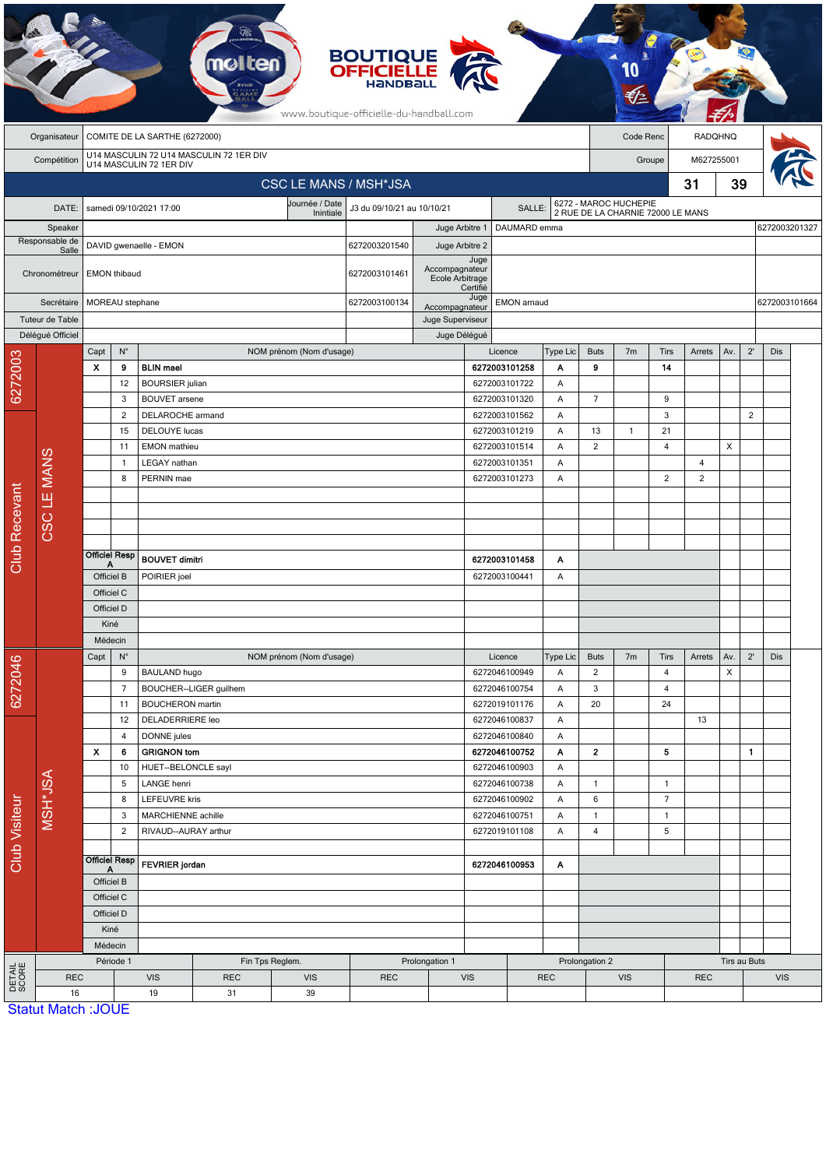|                      |                           |                                                                    |                         |                                                                        | <b>melten</b>          |                          | <b>BOUTIQUE</b><br><b>OFFICIELLE</b><br>www.boutique-officielle-du-handball.com |                  |                                     |                                          |                                                            |                               |                |                |                     |               |              |                            |               |  |
|----------------------|---------------------------|--------------------------------------------------------------------|-------------------------|------------------------------------------------------------------------|------------------------|--------------------------|---------------------------------------------------------------------------------|------------------|-------------------------------------|------------------------------------------|------------------------------------------------------------|-------------------------------|----------------|----------------|---------------------|---------------|--------------|----------------------------|---------------|--|
|                      | Organisateur              | COMITE DE LA SARTHE (6272000)                                      |                         |                                                                        |                        |                          |                                                                                 |                  |                                     |                                          | Code Renc                                                  |                               |                | RADQHNQ        |                     |               |              |                            |               |  |
|                      | Compétition               | U14 MASCULIN 72 U14 MASCULIN 72 1ER DIV<br>U14 MASCULIN 72 1ER DIV |                         |                                                                        |                        |                          |                                                                                 |                  |                                     |                                          |                                                            | Groupe                        |                |                | M627255001          |               |              |                            |               |  |
|                      |                           | <b>CSC LE MANS / MSH*JSA</b>                                       |                         |                                                                        |                        |                          |                                                                                 |                  |                                     |                                          |                                                            |                               |                |                | 31                  | 39            |              |                            |               |  |
|                      | DATE:                     | Journée / Date<br>samedi 09/10/2021 17:00<br>Inintiale             |                         |                                                                        |                        |                          | J3 du 09/10/21 au 10/10/21<br>SALLE:                                            |                  |                                     |                                          |                                                            |                               |                |                |                     |               |              |                            |               |  |
|                      | Speaker                   |                                                                    |                         |                                                                        |                        |                          | Juge Arbitre 1<br>DAUMARD emma                                                  |                  |                                     |                                          | 6272 - MAROC HUCHEPIE<br>2 RUE DE LA CHARNIE 72000 LE MANS |                               |                |                |                     | 6272003201327 |              |                            |               |  |
|                      | Responsable de<br>Salle   | DAVID gwenaelle - EMON                                             |                         |                                                                        |                        |                          | 6272003201540                                                                   | Juge Arbitre 2   |                                     |                                          |                                                            |                               |                |                |                     |               |              |                            |               |  |
|                      | Chronométreur             |                                                                    | <b>EMON</b> thibaud     |                                                                        |                        |                          |                                                                                 | Accompagnateur   | Juge<br>Ecole Arbitrage<br>Certifié |                                          |                                                            |                               |                |                |                     |               |              |                            |               |  |
| Secrétaire           |                           |                                                                    | MOREAU stephane         |                                                                        |                        |                          |                                                                                 | Accompagnateur   | Juge                                | EMON arnaud                              |                                                            |                               |                |                |                     |               |              |                            | 6272003101664 |  |
|                      | Tuteur de Table           |                                                                    |                         |                                                                        |                        |                          |                                                                                 | Juge Superviseur |                                     |                                          |                                                            |                               |                |                |                     |               |              |                            |               |  |
|                      | Délégué Officiel          |                                                                    |                         |                                                                        |                        |                          |                                                                                 |                  | Juge Délégué<br>Type Lic            |                                          |                                                            |                               |                |                |                     |               |              |                            |               |  |
|                      |                           | Capt                                                               | $\mathsf{N}^\circ$      |                                                                        |                        | NOM prénom (Nom d'usage) |                                                                                 |                  |                                     | Licence                                  |                                                            | <b>Buts</b>                   | 7 <sub>m</sub> | Tirs           | Arrets              | Av.           | $2^{\prime}$ | Dis                        |               |  |
| 6272003              |                           | X                                                                  | 9<br>12                 | <b>BLIN</b> mael<br><b>BOURSIER</b> julian                             |                        |                          |                                                                                 |                  |                                     | 6272003101258<br>6272003101722           | Α<br>Α                                                     | 9                             |                | 14             |                     |               |              |                            |               |  |
|                      |                           |                                                                    | 3                       | <b>BOUVET</b> arsene                                                   |                        |                          |                                                                                 |                  |                                     | 6272003101320                            | Α                                                          | $\overline{7}$                |                | 9              |                     |               |              |                            |               |  |
|                      |                           |                                                                    | $\overline{2}$          | DELAROCHE armand                                                       |                        |                          |                                                                                 |                  |                                     | 6272003101562                            | Α                                                          |                               |                | $\mathbf{3}$   |                     |               | $\sqrt{2}$   |                            |               |  |
|                      |                           |                                                                    | 15                      | <b>DELOUYE</b> lucas                                                   |                        |                          |                                                                                 |                  |                                     | 6272003101219                            | Α                                                          | 13                            | $\mathbf{1}$   | 21             |                     |               |              |                            |               |  |
|                      |                           |                                                                    | 11                      | <b>EMON</b> mathieu                                                    |                        |                          |                                                                                 |                  | 6272003101514                       |                                          | Α                                                          | $\overline{2}$                |                | 4              |                     | X             |              |                            |               |  |
|                      | CSC LE MANS               | $\mathbf{1}$<br>8                                                  |                         | PERNIN mae                                                             | LEGAY nathan           |                          |                                                                                 |                  |                                     | 6272003101351<br>Α<br>6272003101273<br>Α |                                                            |                               |                | $\overline{2}$ | 4<br>$\overline{2}$ |               |              |                            |               |  |
|                      |                           |                                                                    |                         |                                                                        |                        |                          |                                                                                 |                  |                                     |                                          |                                                            |                               |                |                |                     |               |              |                            |               |  |
|                      |                           |                                                                    |                         |                                                                        |                        |                          |                                                                                 |                  |                                     |                                          |                                                            |                               |                |                |                     |               |              |                            |               |  |
|                      |                           |                                                                    |                         |                                                                        |                        |                          |                                                                                 |                  |                                     |                                          |                                                            |                               |                |                |                     |               |              |                            |               |  |
| <b>Club Recevant</b> |                           |                                                                    | <b>Officiel Resp</b>    |                                                                        |                        |                          |                                                                                 |                  |                                     |                                          |                                                            |                               |                |                |                     |               |              |                            |               |  |
|                      |                           | Officiel B                                                         |                         | <b>BOUVET dimitri</b><br>POIRIER joel                                  |                        |                          |                                                                                 |                  | 6272003101458                       | Α<br>6272003100441<br>A                  |                                                            |                               |                |                |                     |               |              |                            |               |  |
|                      |                           | Officiel C                                                         |                         |                                                                        |                        |                          |                                                                                 |                  |                                     |                                          |                                                            |                               |                |                |                     |               |              |                            |               |  |
|                      |                           | Officiel D                                                         |                         |                                                                        |                        |                          |                                                                                 |                  |                                     |                                          |                                                            |                               |                |                |                     |               |              |                            |               |  |
|                      |                           | Kiné                                                               |                         |                                                                        |                        |                          |                                                                                 |                  |                                     |                                          |                                                            |                               |                |                |                     |               |              |                            |               |  |
|                      |                           | Médecin                                                            |                         |                                                                        |                        |                          |                                                                                 |                  |                                     |                                          |                                                            |                               |                |                |                     |               |              |                            |               |  |
|                      |                           | Capt                                                               | $N^{\circ}$<br>9        | <b>BAULAND hugo</b>                                                    |                        | NOM prénom (Nom d'usage) |                                                                                 |                  |                                     | Licence<br>6272046100949                 | Type Lic<br>Α                                              | <b>Buts</b><br>$\overline{c}$ | 7m             | Tirs<br>4      | Arrets              | Av.<br>X      | $2^{\prime}$ | Dis                        |               |  |
| 6272046              |                           | $\overline{7}$                                                     |                         |                                                                        | BOUCHER--LIGER guilhem |                          |                                                                                 |                  |                                     | 6272046100754                            | Α                                                          | 3                             |                | 4              |                     |               |              |                            |               |  |
| Club Visiteur        |                           |                                                                    | 11                      | <b>BOUCHERON</b> martin                                                |                        |                          |                                                                                 |                  |                                     | 6272019101176                            | 20<br>Α                                                    |                               |                | 24             |                     |               |              |                            |               |  |
|                      |                           |                                                                    | 12                      | DELADERRIERE leo                                                       |                        |                          |                                                                                 |                  |                                     | 6272046100837                            | Α<br>Α                                                     |                               |                |                | 13                  |               |              |                            |               |  |
|                      |                           |                                                                    | DONNE jules<br>4        |                                                                        |                        |                          |                                                                                 |                  |                                     | 6272046100840                            |                                                            |                               |                |                |                     |               |              |                            |               |  |
|                      |                           | X                                                                  | 6<br>10                 | <b>GRIGNON tom</b><br>HUET--BELONCLE sayl                              |                        |                          |                                                                                 |                  | 6272046100752<br>6272046100903      |                                          | Α<br>A                                                     | $\mathbf{2}$                  |                | 5              |                     |               | $\mathbf{1}$ |                            |               |  |
|                      | MSH <sup>*J</sup> SA      | 5<br>8                                                             |                         | LANGE henri                                                            |                        |                          |                                                                                 |                  |                                     | 6272046100738                            | Α                                                          | $\mathbf{1}$                  |                | $\mathbf{1}$   |                     |               |              |                            |               |  |
|                      |                           |                                                                    |                         | LEFEUVRE kris                                                          |                        |                          |                                                                                 |                  |                                     | 6272046100902                            |                                                            | 6                             |                | $\overline{7}$ |                     |               |              |                            |               |  |
|                      |                           |                                                                    | MARCHIENNE achille<br>3 |                                                                        |                        | 6272046100751            |                                                                                 | Α                | $\mathbf{1}$                        |                                          | $\mathbf{1}$                                               |                               |                |                |                     |               |              |                            |               |  |
|                      |                           | $\overline{2}$                                                     |                         | RIVAUD--AURAY arthur                                                   |                        |                          |                                                                                 |                  | 6272019101108<br>Α                  |                                          |                                                            | 4                             |                | 5              |                     |               |              |                            |               |  |
|                      |                           |                                                                    | <b>Officiel Resp</b>    |                                                                        |                        |                          |                                                                                 |                  |                                     | Α                                        |                                                            |                               |                |                |                     |               |              |                            |               |  |
|                      |                           | Α<br>Officiel B                                                    |                         | FEVRIER jordan                                                         |                        |                          |                                                                                 |                  | 6272046100953                       |                                          |                                                            |                               |                |                |                     |               |              |                            |               |  |
|                      |                           |                                                                    | Officiel C              |                                                                        |                        |                          |                                                                                 |                  |                                     |                                          |                                                            |                               |                |                |                     |               |              |                            |               |  |
|                      |                           |                                                                    | Officiel D              |                                                                        |                        |                          |                                                                                 |                  |                                     |                                          |                                                            |                               |                |                |                     |               |              |                            |               |  |
|                      |                           |                                                                    | Kiné                    |                                                                        |                        |                          |                                                                                 |                  |                                     |                                          |                                                            |                               |                |                |                     |               |              |                            |               |  |
|                      |                           | Médecin                                                            |                         |                                                                        |                        |                          |                                                                                 |                  |                                     |                                          |                                                            |                               |                |                |                     |               |              |                            |               |  |
| DETAIL<br>SCORE      | <b>REC</b>                |                                                                    |                         | Période 1<br>Fin Tps Reglem.<br><b>VIS</b><br><b>REC</b><br><b>VIS</b> |                        |                          | <b>REC</b>                                                                      | Prolongation 1   | <b>VIS</b>                          |                                          | <b>REC</b>                                                 | Prolongation 2<br><b>VIS</b>  |                |                | <b>REC</b>          |               |              | Tirs au Buts<br><b>VIS</b> |               |  |
|                      | 16                        |                                                                    |                         | 19                                                                     | 31                     | 39                       |                                                                                 |                  |                                     |                                          |                                                            |                               |                |                |                     |               |              |                            |               |  |
|                      | <b>Statut Match: JOUE</b> |                                                                    |                         |                                                                        |                        |                          |                                                                                 |                  |                                     |                                          |                                                            |                               |                |                |                     |               |              |                            |               |  |

**CA**